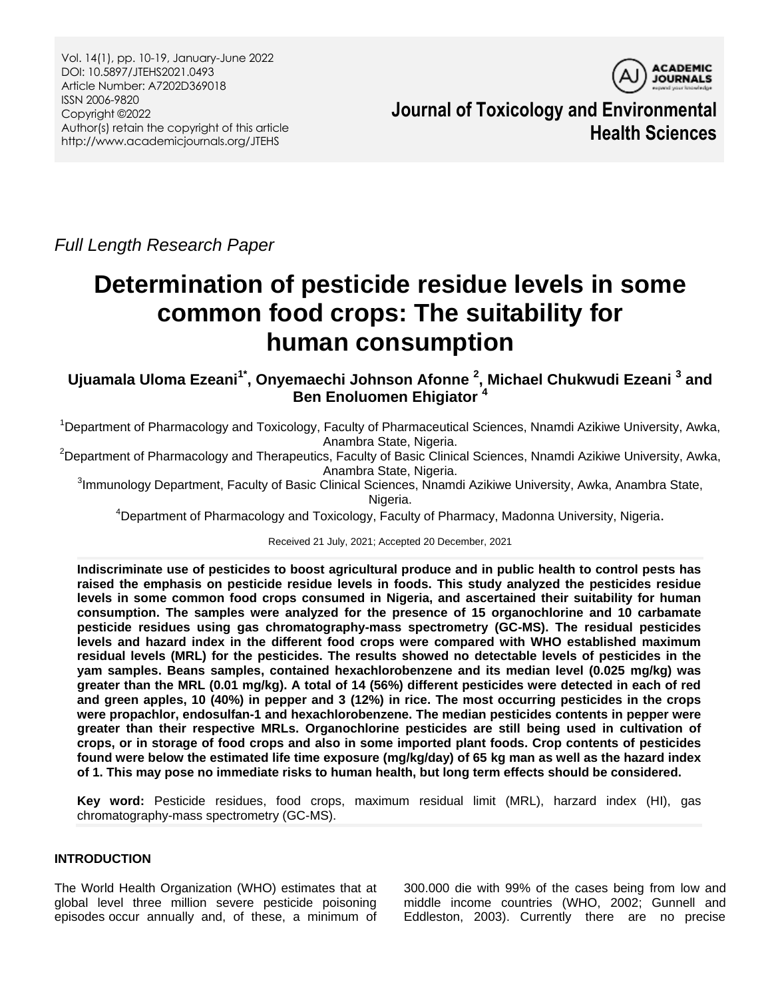

**Journal of Toxicology and Environmental Health Sciences**

*Full Length Research Paper*

# **Determination of pesticide residue levels in some common food crops: The suitability for human consumption**

**Ujuamala Uloma Ezeani1\* , Onyemaechi Johnson Afonne <sup>2</sup> , Michael Chukwudi Ezeani <sup>3</sup> and Ben Enoluomen Ehigiator <sup>4</sup>**

<sup>1</sup>Department of Pharmacology and Toxicology, Faculty of Pharmaceutical Sciences, Nnamdi Azikiwe University, Awka, Anambra State, Nigeria.

<sup>2</sup>Department of Pharmacology and Therapeutics, Faculty of Basic Clinical Sciences, Nnamdi Azikiwe University, Awka, Anambra State, Nigeria.

<sup>3</sup>Immunology Department, Faculty of Basic Clinical Sciences, Nnamdi Azikiwe University, Awka, Anambra State, Nigeria.

<sup>4</sup>Department of Pharmacology and Toxicology, Faculty of Pharmacy, Madonna University, Nigeria.

Received 21 July, 2021; Accepted 20 December, 2021

**Indiscriminate use of pesticides to boost agricultural produce and in public health to control pests has raised the emphasis on pesticide residue levels in foods. This study analyzed the pesticides residue levels in some common food crops consumed in Nigeria, and ascertained their suitability for human consumption. The samples were analyzed for the presence of 15 organochlorine and 10 carbamate pesticide residues using gas chromatography-mass spectrometry (GC-MS). The residual pesticides levels and hazard index in the different food crops were compared with WHO established maximum residual levels (MRL) for the pesticides. The results showed no detectable levels of pesticides in the yam samples. Beans samples, contained hexachlorobenzene and its median level (0.025 mg/kg) was greater than the MRL (0.01 mg/kg). A total of 14 (56%) different pesticides were detected in each of red and green apples, 10 (40%) in pepper and 3 (12%) in rice. The most occurring pesticides in the crops were propachlor, endosulfan-1 and hexachlorobenzene. The median pesticides contents in pepper were greater than their respective MRLs. Organochlorine pesticides are still being used in cultivation of crops, or in storage of food crops and also in some imported plant foods. Crop contents of pesticides found were below the estimated life time exposure (mg/kg/day) of 65 kg man as well as the hazard index of 1. This may pose no immediate risks to human health, but long term effects should be considered.**

**Key word:** Pesticide residues, food crops, maximum residual limit (MRL), harzard index (HI), gas chromatography-mass spectrometry (GC-MS).

# **INTRODUCTION**

The World Health Organization (WHO) estimates that at global level three million severe pesticide poisoning episodes occur annually and, of these, a minimum of

300.000 die with 99% of the cases being from low and middle income countries (WHO, 2002; Gunnell and Eddleston, 2003). Currently there are no precise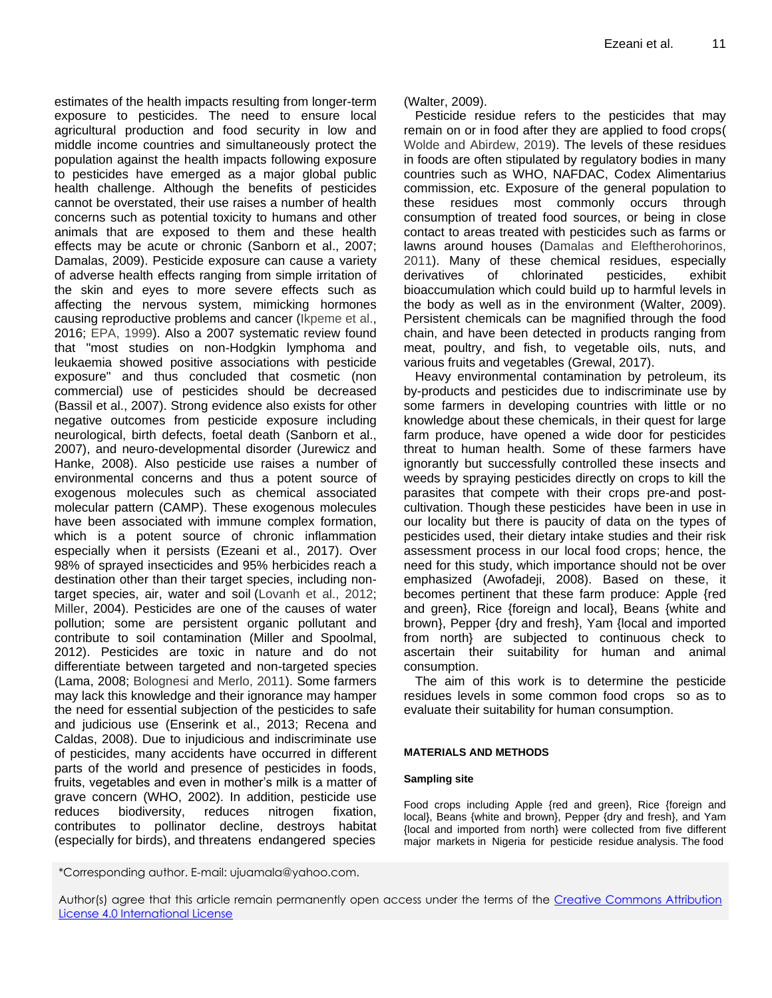estimates of the health impacts resulting from longer-term exposure to pesticides. The need to ensure local agricultural production and food security in low and middle income countries and simultaneously protect the population against the health impacts following exposure to pesticides have emerged as a major global public health challenge. Although the benefits of pesticides cannot be overstated, their use raises a number of health concerns such as potential toxicity to humans and other animals that are exposed to them and these health effects may be acute or chronic (Sanborn et al., 2007; Damalas, 2009). Pesticide exposure can cause a variety of adverse health effects ranging from simple irritation of the skin and eyes to more severe effects such as affecting the nervous system, mimicking hormones causing reproductive problems and cancer (Ikpeme et al., 2016; EPA, 1999). Also a 2007 systematic review found that "most studies on non-Hodgkin lymphoma and leukaemia showed positive associations with pesticide exposure" and thus concluded that cosmetic (non commercial) use of pesticides should be decreased (Bassil et al., 2007). Strong evidence also exists for other negative outcomes from pesticide exposure including neurological, birth defects, foetal death (Sanborn et al., 2007), and neuro-developmental disorder (Jurewicz and Hanke, 2008). Also pesticide use raises a number of environmental concerns and thus a potent source of exogenous molecules such as chemical associated molecular pattern (CAMP). These exogenous molecules have been associated with immune complex formation, which is a potent source of chronic inflammation especially when it persists (Ezeani et al., 2017). Over 98% of sprayed insecticides and 95% herbicides reach a destination other than their target species, including nontarget species, air, water and soil (Lovanh et al., 2012; Miller, 2004). Pesticides are one of the causes of water pollution; some are persistent organic pollutant and contribute to soil contamination (Miller and Spoolmal, 2012). Pesticides are toxic in nature and do not differentiate between targeted and non-targeted species (Lama, 2008; Bolognesi and Merlo, 2011). Some farmers may lack this knowledge and their ignorance may hamper the need for essential subjection of the pesticides to safe and judicious use (Enserink et al., 2013; Recena and Caldas, 2008). Due to injudicious and indiscriminate use of pesticides, many accidents have occurred in different parts of the world and presence of pesticides in foods, fruits, vegetables and even in mother's milk is a matter of grave concern (WHO, 2002). In addition, pesticide use reduces biodiversity, reduces nitrogen fixation, contributes to pollinator decline, destroys habitat (especially for birds), and threatens endangered species

(Walter, 2009).

Pesticide residue refers to the pesticides that may remain on or in food after they are applied to food crops( Wolde and Abirdew, 2019). The levels of these residues in foods are often stipulated by regulatory bodies in many countries such as WHO, NAFDAC, Codex Alimentarius commission, etc. Exposure of the general population to these residues most commonly occurs through consumption of treated food sources, or being in close contact to areas treated with pesticides such as farms or lawns around houses (Damalas and Eleftherohorinos, 2011). Many of these chemical residues, especially derivatives of chlorinated pesticides, exhibit bioaccumulation which could build up to harmful levels in the body as well as in the environment (Walter, 2009). Persistent chemicals can be magnified through the food chain, and have been detected in products ranging from meat, poultry, and fish, to vegetable oils, nuts, and various fruits and vegetables (Grewal, 2017).

Heavy environmental contamination by petroleum, its by-products and pesticides due to indiscriminate use by some farmers in developing countries with little or no knowledge about these chemicals, in their quest for large farm produce, have opened a wide door for pesticides threat to human health. Some of these farmers have ignorantly but successfully controlled these insects and weeds by spraying pesticides directly on crops to kill the parasites that compete with their crops pre-and postcultivation. Though these pesticides have been in use in our locality but there is paucity of data on the types of pesticides used, their dietary intake studies and their risk assessment process in our local food crops; hence, the need for this study, which importance should not be over emphasized (Awofadeji, 2008). Based on these, it becomes pertinent that these farm produce: Apple {red and green}, Rice {foreign and local}, Beans {white and brown}, Pepper {dry and fresh}, Yam {local and imported from north} are subjected to continuous check to ascertain their suitability for human and animal consumption.

The aim of this work is to determine the pesticide residues levels in some common food crops so as to evaluate their suitability for human consumption.

## **MATERIALS AND METHODS**

## **Sampling site**

Food crops including Apple {red and green}, Rice {foreign and local}, Beans {white and brown}, Pepper {dry and fresh}, and Yam {local and imported from north} were collected from five different major markets in Nigeria for pesticide residue analysis. The food

\*Corresponding author. E-mail: ujuamala@yahoo.com.

Author(s) agree that this article remain permanently open access under the terms of the Creative Commons Attribution [License 4.0 International License](http://creativecommons.org/licenses/by/4.0/deed.en_US)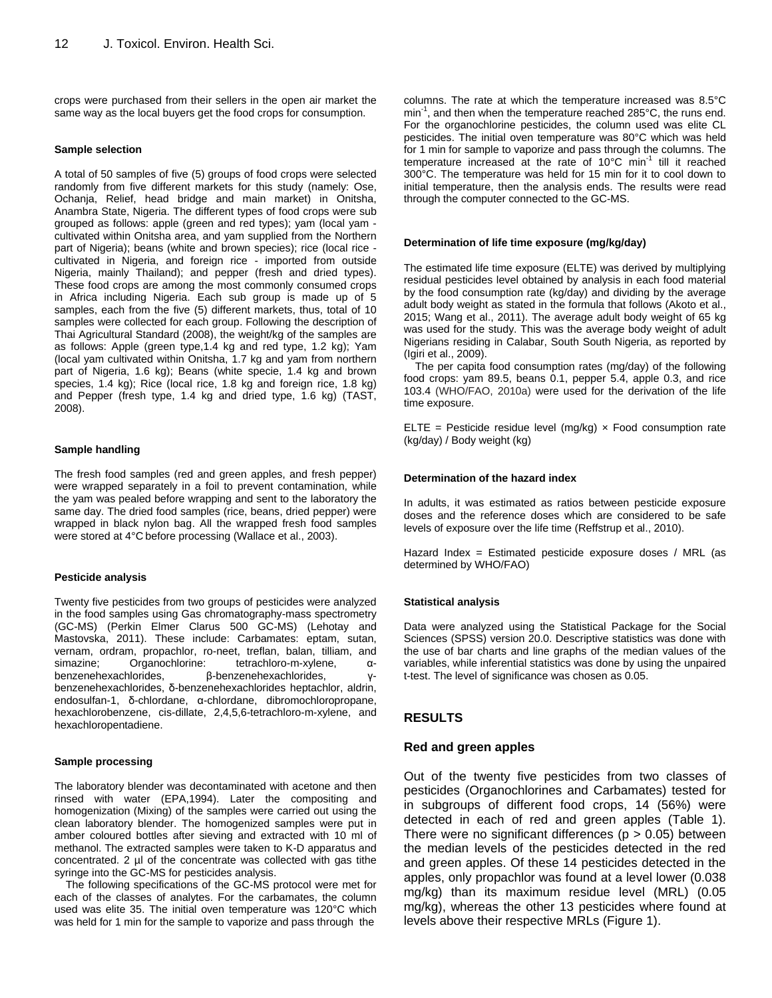crops were purchased from their sellers in the open air market the same way as the local buyers get the food crops for consumption.

#### **Sample selection**

A total of 50 samples of five (5) groups of food crops were selected randomly from five different markets for this study (namely: Ose, Ochanja, Relief, head bridge and main market) in Onitsha, Anambra State, Nigeria. The different types of food crops were sub grouped as follows: apple (green and red types); yam (local yam cultivated within Onitsha area, and yam supplied from the Northern part of Nigeria); beans (white and brown species); rice (local rice cultivated in Nigeria, and foreign rice - imported from outside Nigeria, mainly Thailand); and pepper (fresh and dried types). These food crops are among the most commonly consumed crops in Africa including Nigeria. Each sub group is made up of 5 samples, each from the five (5) different markets, thus, total of 10 samples were collected for each group. Following the description of Thai Agricultural Standard (2008), the weight/kg of the samples are as follows: Apple (green type,1.4 kg and red type, 1.2 kg); Yam (local yam cultivated within Onitsha, 1.7 kg and yam from northern part of Nigeria, 1.6 kg); Beans (white specie, 1.4 kg and brown species, 1.4 kg); Rice (local rice, 1.8 kg and foreign rice, 1.8 kg) and Pepper (fresh type, 1.4 kg and dried type, 1.6 kg) (TAST, 2008).

## **Sample handling**

The fresh food samples (red and green apples, and fresh pepper) were wrapped separately in a foil to prevent contamination, while the yam was pealed before wrapping and sent to the laboratory the same day. The dried food samples (rice, beans, dried pepper) were wrapped in black nylon bag. All the wrapped fresh food samples were stored at 4°C before processing (Wallace et al., 2003).

#### **Pesticide analysis**

Twenty five pesticides from two groups of pesticides were analyzed in the food samples using Gas chromatography-mass spectrometry (GC-MS) (Perkin Elmer Clarus 500 GC-MS) (Lehotay and Mastovska, 2011). These include: Carbamates: eptam, sutan, vernam, ordram, propachlor, ro-neet, treflan, balan, tilliam, and simazine; Organochlorine: tetrachloro-m-xylene, αbenzenehexachlorides, β-benzenehexachlorides, γbenzenehexachlorides, δ-benzenehexachlorides heptachlor, aldrin, endosulfan-1, δ-chlordane, α-chlordane, dibromochloropropane, hexachlorobenzene, cis-dillate, 2,4,5,6-tetrachloro-m-xylene, and hexachloropentadiene.

#### **Sample processing**

The laboratory blender was decontaminated with acetone and then rinsed with water (EPA,1994). Later the compositing and homogenization (Mixing) of the samples were carried out using the clean laboratory blender. The homogenized samples were put in amber coloured bottles after sieving and extracted with 10 ml of methanol. The extracted samples were taken to K-D apparatus and concentrated. 2 µl of the concentrate was collected with gas tithe syringe into the GC-MS for pesticides analysis.

The following specifications of the GC-MS protocol were met for each of the classes of analytes. For the carbamates, the column used was elite 35. The initial oven temperature was 120°C which was held for 1 min for the sample to vaporize and pass through the

columns. The rate at which the temperature increased was 8.5°C min<sup>-1</sup>, and then when the temperature reached 285°C, the runs end. For the organochlorine pesticides, the column used was elite CL pesticides. The initial oven temperature was 80°C which was held for 1 min for sample to vaporize and pass through the columns. The temperature increased at the rate of 10°C min<sup>-1</sup> till it reached 300°C. The temperature was held for 15 min for it to cool down to initial temperature, then the analysis ends. The results were read through the computer connected to the GC-MS.

#### **Determination of life time exposure (mg/kg/day)**

The estimated life time exposure (ELTE) was derived by multiplying residual pesticides level obtained by analysis in each food material by the food consumption rate (kg/day) and dividing by the average adult body weight as stated in the formula that follows (Akoto et al., 2015; Wang et al., 2011). The average adult body weight of 65 kg was used for the study. This was the average body weight of adult Nigerians residing in Calabar, South South Nigeria, as reported by (Igiri et al., 2009).

The per capita food consumption rates (mg/day) of the following food crops: yam 89.5, beans 0.1, pepper 5.4, apple 0.3, and rice 103.4 (WHO/FAO, 2010a) were used for the derivation of the life time exposure.

ELTE = Pesticide residue level (mg/kg)  $\times$  Food consumption rate (kg/day) / Body weight (kg)

#### **Determination of the hazard index**

In adults, it was estimated as ratios between pesticide exposure doses and the reference doses which are considered to be safe levels of exposure over the life time (Reffstrup et al., 2010).

Hazard Index = Estimated pesticide exposure doses / MRL (as determined by WHO/FAO)

#### **Statistical analysis**

Data were analyzed using the Statistical Package for the Social Sciences (SPSS) version 20.0. Descriptive statistics was done with the use of bar charts and line graphs of the median values of the variables, while inferential statistics was done by using the unpaired t-test. The level of significance was chosen as 0.05.

# **RESULTS**

## **Red and green apples**

Out of the twenty five pesticides from two classes of pesticides (Organochlorines and Carbamates) tested for in subgroups of different food crops, 14 (56%) were detected in each of red and green apples (Table 1). There were no significant differences ( $p > 0.05$ ) between the median levels of the pesticides detected in the red and green apples. Of these 14 pesticides detected in the apples, only propachlor was found at a level lower (0.038 mg/kg) than its maximum residue level (MRL) (0.05 mg/kg), whereas the other 13 pesticides where found at levels above their respective MRLs (Figure 1).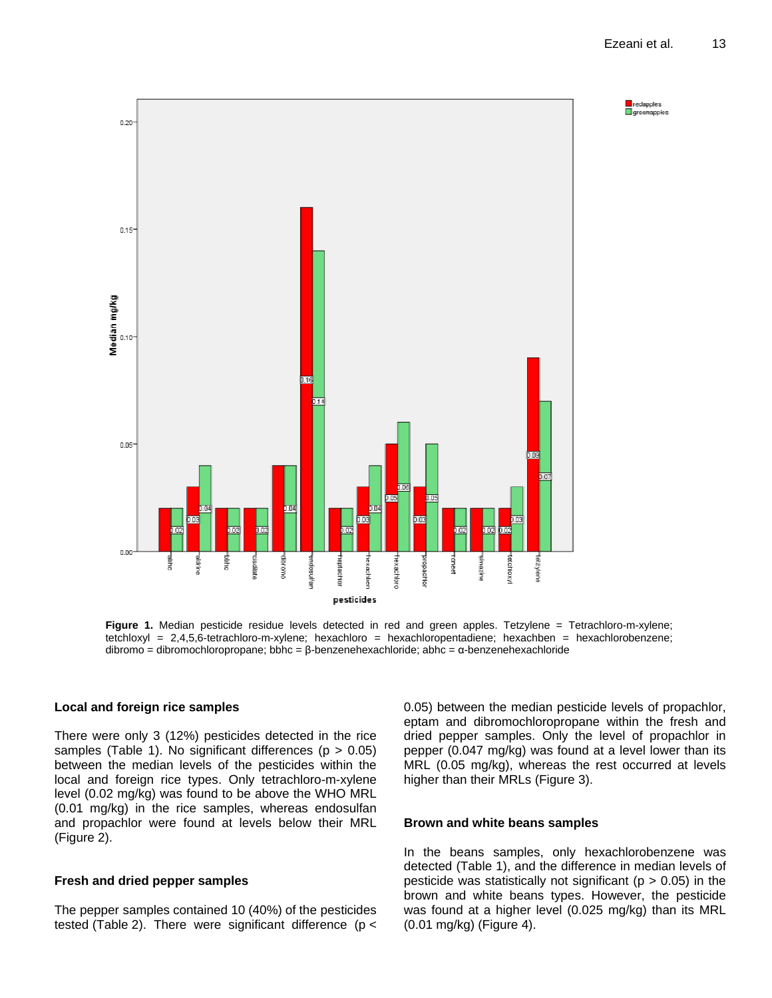

**Figure 1.** Median pesticide residue levels detected in red and green apples. Tetzylene = Tetrachloro-m-xylene; tetchloxyl = 2,4,5,6-tetrachloro-m-xylene; hexachloro = hexachloropentadiene; hexachben = hexachlorobenzene; dibromo = dibromochloropropane; bbhc = β-benzenehexachloride; abhc = α-benzenehexachloride

# **Local and foreign rice samples**

There were only 3 (12%) pesticides detected in the rice samples (Table 1). No significant differences ( $p > 0.05$ ) between the median levels of the pesticides within the local and foreign rice types. Only tetrachloro-m-xylene level (0.02 mg/kg) was found to be above the WHO MRL (0.01 mg/kg) in the rice samples, whereas endosulfan and propachlor were found at levels below their MRL (Figure 2).

# **Fresh and dried pepper samples**

The pepper samples contained 10 (40%) of the pesticides tested (Table 2). There were significant difference ( $p <$ 

0.05) between the median pesticide levels of propachlor, eptam and dibromochloropropane within the fresh and dried pepper samples. Only the level of propachlor in pepper (0.047 mg/kg) was found at a level lower than its MRL (0.05 mg/kg), whereas the rest occurred at levels higher than their MRLs (Figure 3).

## **Brown and white beans samples**

In the beans samples, only hexachlorobenzene was detected (Table 1), and the difference in median levels of pesticide was statistically not significant ( $p > 0.05$ ) in the brown and white beans types. However, the pesticide was found at a higher level (0.025 mg/kg) than its MRL (0.01 mg/kg) (Figure 4).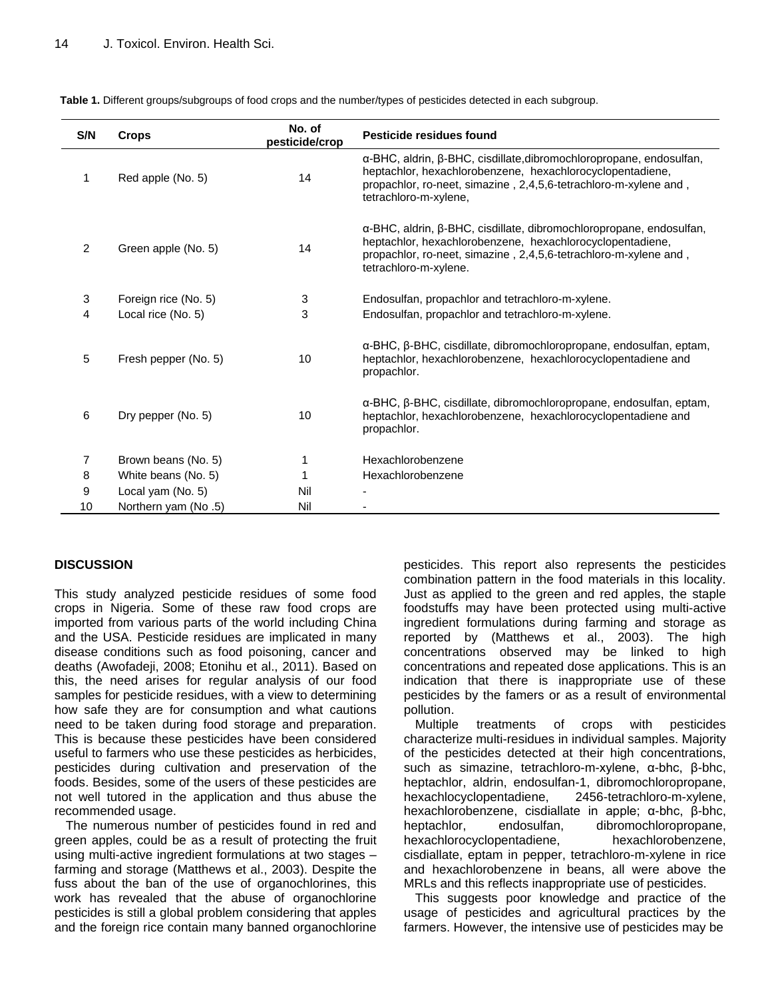| S/N | <b>Crops</b>         | No. of<br>pesticide/crop | Pesticide residues found                                                                                                                                                                                                      |
|-----|----------------------|--------------------------|-------------------------------------------------------------------------------------------------------------------------------------------------------------------------------------------------------------------------------|
| 1   | Red apple (No. 5)    | 14                       | α-BHC, aldrin, β-BHC, cisdillate, dibromochloropropane, endosulfan,<br>heptachlor, hexachlorobenzene, hexachlorocyclopentadiene,<br>propachlor, ro-neet, simazine, 2,4,5,6-tetrachloro-m-xylene and,<br>tetrachloro-m-xylene, |
| 2   | Green apple (No. 5)  | 14                       | α-BHC, aldrin, β-BHC, cisdillate, dibromochloropropane, endosulfan,<br>heptachlor, hexachlorobenzene, hexachlorocyclopentadiene,<br>propachlor, ro-neet, simazine, 2,4,5,6-tetrachloro-m-xylene and,<br>tetrachloro-m-xylene. |
| 3   | Foreign rice (No. 5) | 3                        | Endosulfan, propachlor and tetrachloro-m-xylene.                                                                                                                                                                              |
| 4   | Local rice (No. 5)   | 3                        | Endosulfan, propachlor and tetrachloro-m-xylene.                                                                                                                                                                              |
| 5   | Fresh pepper (No. 5) | 10                       | α-BHC, β-BHC, cisdillate, dibromochloropropane, endosulfan, eptam,<br>heptachlor, hexachlorobenzene, hexachlorocyclopentadiene and<br>propachlor.                                                                             |
| 6   | Dry pepper (No. 5)   | 10                       | α-BHC, β-BHC, cisdillate, dibromochloropropane, endosulfan, eptam,<br>heptachlor, hexachlorobenzene, hexachlorocyclopentadiene and<br>propachlor.                                                                             |
| 7   | Brown beans (No. 5)  | 1                        | Hexachlorobenzene                                                                                                                                                                                                             |
| 8   | White beans (No. 5)  |                          | Hexachlorobenzene                                                                                                                                                                                                             |
| 9   | Local yam (No. 5)    | Nil                      |                                                                                                                                                                                                                               |
| 10  | Northern yam (No .5) | Nil                      |                                                                                                                                                                                                                               |

**Table 1.** Different groups/subgroups of food crops and the number/types of pesticides detected in each subgroup.

# **DISCUSSION**

This study analyzed pesticide residues of some food crops in Nigeria. Some of these raw food crops are imported from various parts of the world including China and the USA. Pesticide residues are implicated in many disease conditions such as food poisoning, cancer and deaths (Awofadeji, 2008; Etonihu et al., 2011). Based on this, the need arises for regular analysis of our food samples for pesticide residues, with a view to determining how safe they are for consumption and what cautions need to be taken during food storage and preparation. This is because these pesticides have been considered useful to farmers who use these pesticides as herbicides, pesticides during cultivation and preservation of the foods. Besides, some of the users of these pesticides are not well tutored in the application and thus abuse the recommended usage.

The numerous number of pesticides found in red and green apples, could be as a result of protecting the fruit using multi-active ingredient formulations at two stages – farming and storage (Matthews et al., 2003). Despite the fuss about the ban of the use of organochlorines, this work has revealed that the abuse of organochlorine pesticides is still a global problem considering that apples and the foreign rice contain many banned organochlorine

pesticides. This report also represents the pesticides combination pattern in the food materials in this locality. Just as applied to the green and red apples, the staple foodstuffs may have been protected using multi-active ingredient formulations during farming and storage as reported by (Matthews et al., 2003). The high concentrations observed may be linked to high concentrations and repeated dose applications. This is an indication that there is inappropriate use of these pesticides by the famers or as a result of environmental pollution.

Multiple treatments of crops with pesticides characterize multi-residues in individual samples. Majority of the pesticides detected at their high concentrations, such as simazine, tetrachloro-m-xylene, α-bhc, β-bhc, heptachlor, aldrin, endosulfan-1, dibromochloropropane, hexachlocyclopentadiene, 2456-tetrachloro-m-xylene, hexachlorobenzene, cisdiallate in apple; α-bhc, β-bhc, heptachlor, endosulfan, dibromochloropropane, hexachlorocyclopentadiene, hexachlorobenzene, cisdiallate, eptam in pepper, tetrachloro-m-xylene in rice and hexachlorobenzene in beans, all were above the MRLs and this reflects inappropriate use of pesticides.

This suggests poor knowledge and practice of the usage of pesticides and agricultural practices by the farmers. However, the intensive use of pesticides may be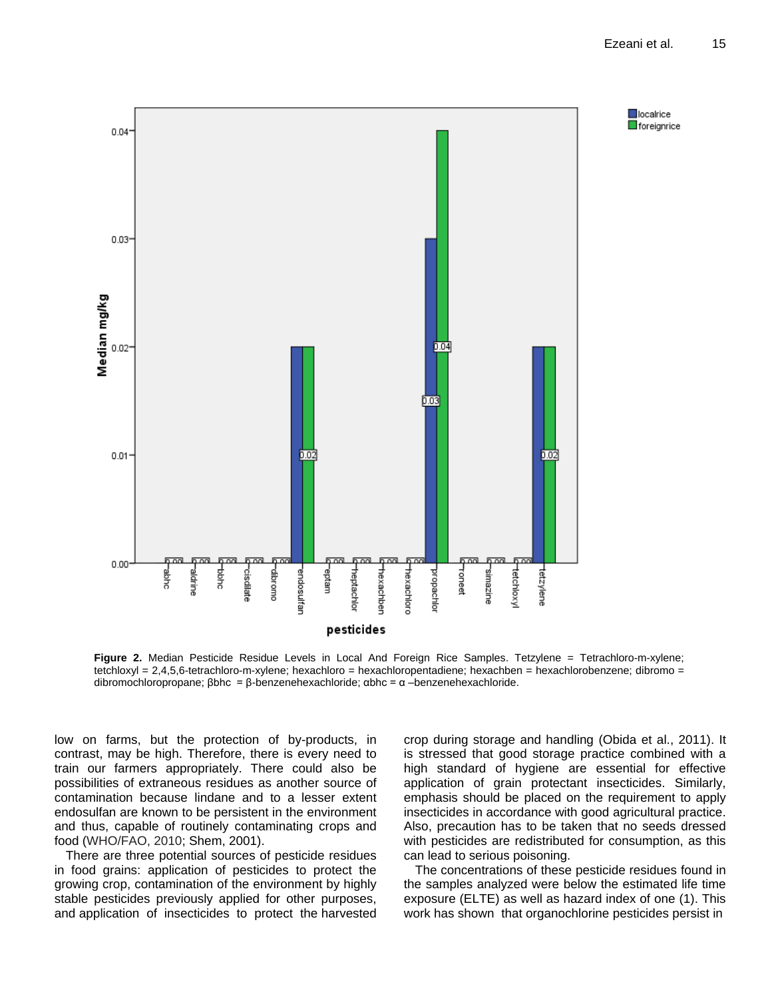

**Figure 2.** Median Pesticide Residue Levels in Local And Foreign Rice Samples. Tetzylene = Tetrachloro-m-xylene; tetchloxyl = 2,4,5,6-tetrachloro-m-xylene; hexachloro = hexachloropentadiene; hexachben = hexachlorobenzene; dibromo = dibromochloropropane; βbhc = β-benzenehexachloride; αbhc = α –benzenehexachloride.

low on farms, but the protection of by-products, in contrast, may be high. Therefore, there is every need to train our farmers appropriately. There could also be possibilities of extraneous residues as another source of contamination because lindane and to a lesser extent endosulfan are known to be persistent in the environment and thus, capable of routinely contaminating crops and food (WHO/FAO, 2010; Shem, 2001).

There are three potential sources of pesticide residues in food grains: application of pesticides to protect the growing crop, contamination of the environment by highly stable pesticides previously applied for other purposes, and application of insecticides to protect the harvested

crop during storage and handling (Obida et al., 2011). It is stressed that good storage practice combined with a high standard of hygiene are essential for effective application of grain protectant insecticides. Similarly, emphasis should be placed on the requirement to apply insecticides in accordance with good agricultural practice. Also, precaution has to be taken that no seeds dressed with pesticides are redistributed for consumption, as this can lead to serious poisoning.

The concentrations of these pesticide residues found in the samples analyzed were below the estimated life time exposure (ELTE) as well as hazard index of one (1). This work has shown that organochlorine pesticides persist in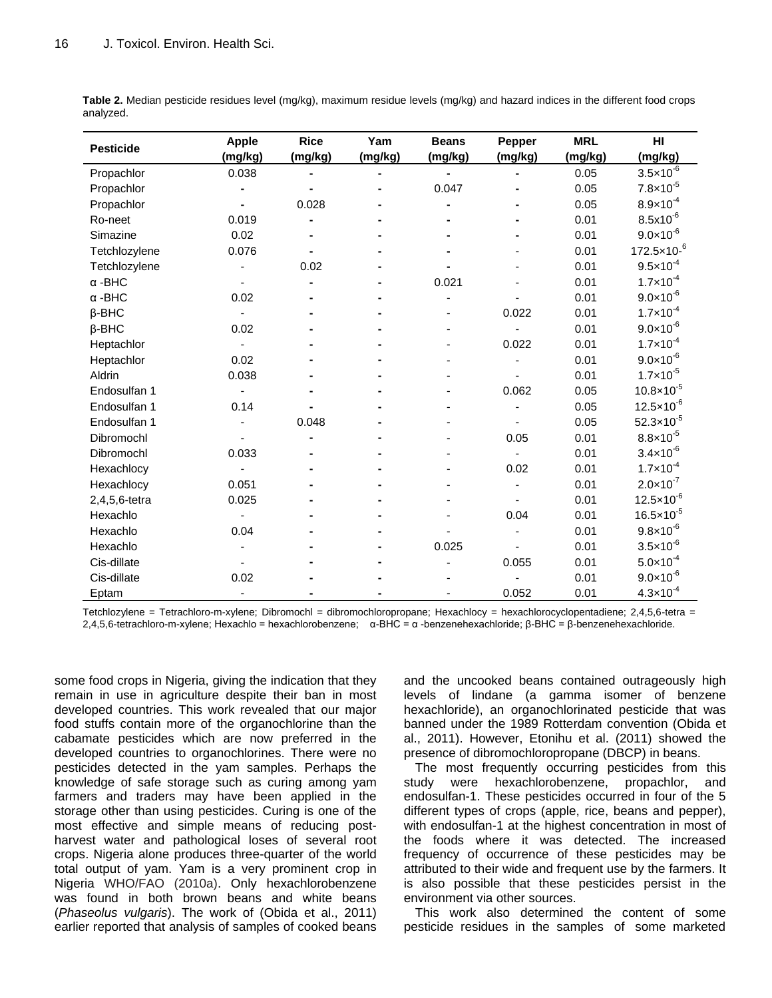|                  | <b>Apple</b> | <b>Rice</b> | Yam     | <b>Beans</b> | <b>Pepper</b>  | <b>MRL</b> | H <sub>II</sub>        |
|------------------|--------------|-------------|---------|--------------|----------------|------------|------------------------|
| <b>Pesticide</b> | (mg/kg)      | (mg/kg)     | (mg/kg) | (mg/kg)      | (mg/kg)        | (mg/kg)    | (mg/kg)                |
| Propachlor       | 0.038        |             |         |              | $\blacksquare$ | 0.05       | $3.5 \times 10^{-6}$   |
| Propachlor       |              |             |         | 0.047        |                | 0.05       | $7.8 \times 10^{-5}$   |
| Propachlor       |              | 0.028       |         |              |                | 0.05       | $8.9 \times 10^{-4}$   |
| Ro-neet          | 0.019        |             |         |              |                | 0.01       | $8.5x10^{-6}$          |
| Simazine         | 0.02         |             |         |              |                | 0.01       | $9.0 \times 10^{-6}$   |
| Tetchlozylene    | 0.076        |             |         |              |                | 0.01       | $172.5 \times 10^{-6}$ |
| Tetchlozylene    |              | 0.02        |         |              |                | 0.01       | $9.5 \times 10^{-4}$   |
| $\alpha$ -BHC    |              |             |         | 0.021        |                | 0.01       | $1.7 \times 10^{-4}$   |
| $\alpha$ -BHC    | 0.02         |             |         |              |                | 0.01       | $9.0 \times 10^{-6}$   |
| $\beta$ -BHC     |              |             |         |              | 0.022          | 0.01       | $1.7 \times 10^{-4}$   |
| $\beta$ -BHC     | 0.02         |             |         |              |                | 0.01       | $9.0 \times 10^{-6}$   |
| Heptachlor       |              |             |         |              | 0.022          | 0.01       | $1.7 \times 10^{-4}$   |
| Heptachlor       | 0.02         |             |         |              |                | 0.01       | $9.0 \times 10^{-6}$   |
| Aldrin           | 0.038        |             |         |              |                | 0.01       | $1.7 \times 10^{-5}$   |
| Endosulfan 1     |              |             |         |              | 0.062          | 0.05       | $10.8 \times 10^{-5}$  |
| Endosulfan 1     | 0.14         |             |         |              |                | 0.05       | $12.5 \times 10^{-6}$  |
| Endosulfan 1     |              | 0.048       |         |              |                | 0.05       | 52.3×10 $^{-5}$        |
| Dibromochl       |              |             |         |              | 0.05           | 0.01       | $8.8 \times 10^{-5}$   |
| Dibromochl       | 0.033        |             |         |              |                | 0.01       | $3.4 \times 10^{-6}$   |
| Hexachlocy       |              |             |         |              | 0.02           | 0.01       | $1.7 \times 10^{-4}$   |
| Hexachlocy       | 0.051        |             |         |              |                | 0.01       | $2.0 \times 10^{-7}$   |
| 2,4,5,6-tetra    | 0.025        |             |         |              |                | 0.01       | $12.5 \times 10^{-6}$  |
| Hexachlo         |              |             |         |              | 0.04           | 0.01       | $16.5 \times 10^{-5}$  |
| Hexachlo         | 0.04         |             |         |              |                | 0.01       | $9.8 \times 10^{-6}$   |
| Hexachlo         |              |             |         | 0.025        |                | 0.01       | $3.5 \times 10^{-6}$   |
| Cis-dillate      |              |             |         |              | 0.055          | 0.01       | $5.0 \times 10^{-4}$   |
| Cis-dillate      | 0.02         |             |         |              |                | 0.01       | $9.0 \times 10^{-6}$   |
| Eptam            |              |             |         |              | 0.052          | 0.01       | $4.3 \times 10^{-4}$   |

**Table 2.** Median pesticide residues level (mg/kg), maximum residue levels (mg/kg) and hazard indices in the different food crops analyzed.

Tetchlozylene = Tetrachloro-m-xylene: Dibromochl = dibromochloropropane: Hexachlocy = hexachlorocyclopentadiene: 2,4,5,6-tetra = 2,4,5,6-tetrachloro-m-xylene; Hexachlo = hexachlorobenzene; α-BHC = α -benzenehexachloride; β-BHC = β-benzenehexachloride.

some food crops in Nigeria, giving the indication that they remain in use in agriculture despite their ban in most developed countries. This work revealed that our major food stuffs contain more of the organochlorine than the cabamate pesticides which are now preferred in the developed countries to organochlorines. There were no pesticides detected in the yam samples. Perhaps the knowledge of safe storage such as curing among yam farmers and traders may have been applied in the storage other than using pesticides. Curing is one of the most effective and simple means of reducing postharvest water and pathological loses of several root crops. Nigeria alone produces three-quarter of the world total output of yam. Yam is a very prominent crop in Nigeria WHO/FAO (2010a). Only hexachlorobenzene was found in both brown beans and white beans (*Phaseolus vulgaris*). The work of (Obida et al., 2011) earlier reported that analysis of samples of cooked beans

and the uncooked beans contained outrageously high levels of lindane (a gamma isomer of benzene hexachloride), an organochlorinated pesticide that was banned under the 1989 Rotterdam convention (Obida et al., 2011). However, Etonihu et al. (2011) showed the presence of dibromochloropropane (DBCP) in beans.

The most frequently occurring pesticides from this study were hexachlorobenzene, propachlor, and endosulfan-1. These pesticides occurred in four of the 5 different types of crops (apple, rice, beans and pepper), with endosulfan-1 at the highest concentration in most of the foods where it was detected. The increased frequency of occurrence of these pesticides may be attributed to their wide and frequent use by the farmers. It is also possible that these pesticides persist in the environment via other sources.

This work also determined the content of some pesticide residues in the samples of some marketed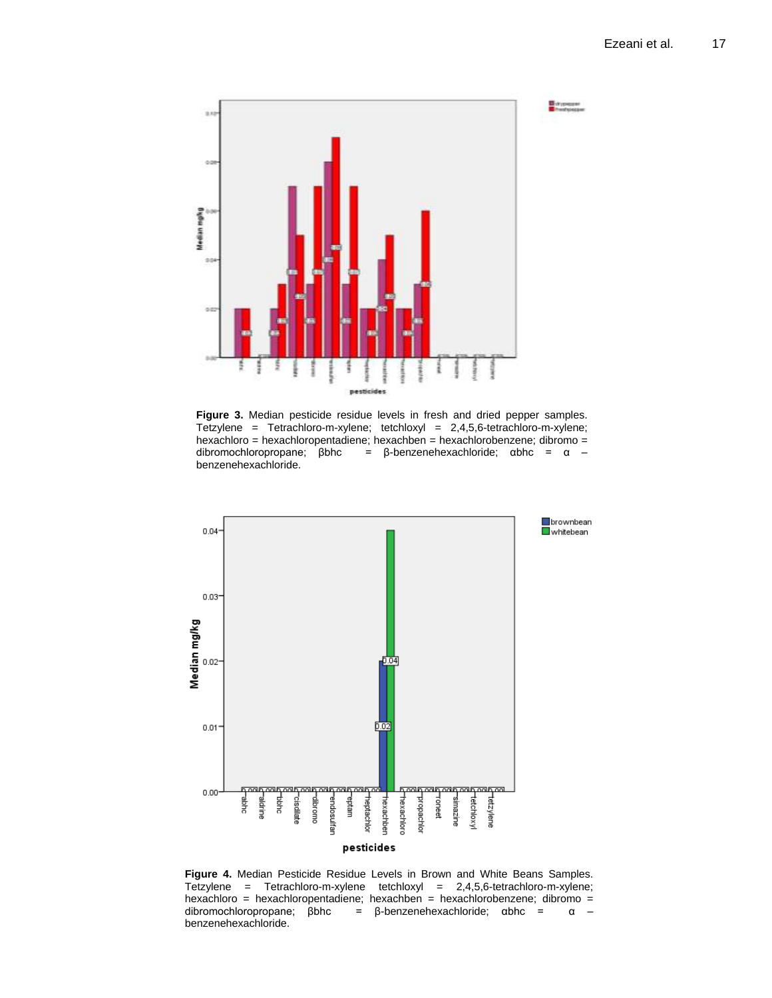

**Figure 3.** Median pesticide residue levels in fresh and dried pepper samples. Tetzylene = Tetrachloro-m-xylene; tetchloxyl = 2,4,5,6-tetrachloro-m-xylene; hexachloro = hexachloropentadiene; hexachben = hexachlorobenzene; dibromo = dibromochloropropane; βbhc = β-benzenehexachloride; αbhc = α – benzenehexachloride.



**Figure 4.** Median Pesticide Residue Levels in Brown and White Beans Samples. Tetzylene = Tetrachloro-m-xylene tetchloxyl = 2,4,5,6-tetrachloro-m-xylene; hexachloro = hexachloropentadiene; hexachben = hexachlorobenzene; dibromo = dibromochloropropane; βbhc = β-benzenehexachloride; αbhc = α – benzenehexachloride.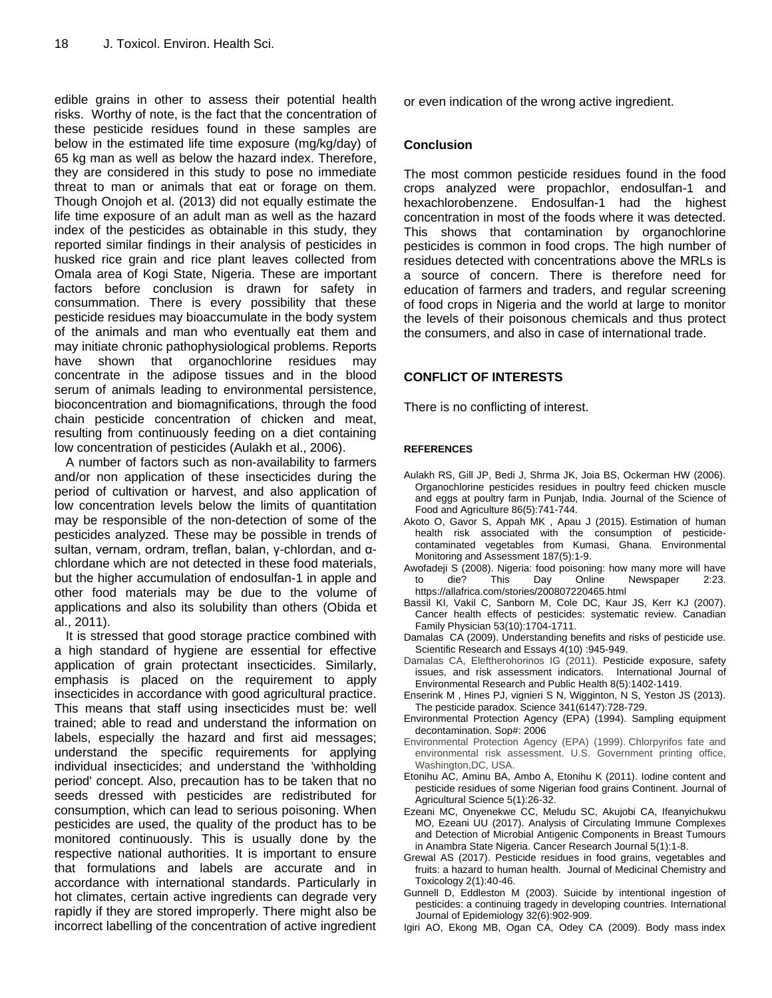edible grains in other to assess their potential health risks. Worthy of note, is the fact that the concentration of these pesticide residues found in these samples are below in the estimated life time exposure (mg/kg/day) of 65 kg man as well as below the hazard index. Therefore, they are considered in this study to pose no immediate threat to man or animals that eat or forage on them. Though Onojoh et al. (2013) did not equally estimate the life time exposure of an adult man as well as the hazard index of the pesticides as obtainable in this study, they reported similar findings in their analysis of pesticides in husked rice grain and rice plant leaves collected from Omala area of Kogi State, Nigeria. These are important factors before conclusion is drawn for safety in consummation. There is every possibility that these pesticide residues may bioaccumulate in the body system of the animals and man who eventually eat them and may initiate chronic pathophysiological problems. Reports have shown that organochlorine residues may concentrate in the adipose tissues and in the blood serum of animals leading to environmental persistence, bioconcentration and biomagnifications, through the food chain pesticide concentration of chicken and meat, resulting from continuously feeding on a diet containing low concentration of pesticides (Aulakh et al., 2006).

A number of factors such as non-availability to farmers and/or non application of these insecticides during the period of cultivation or harvest, and also application of low concentration levels below the limits of quantitation may be responsible of the non-detection of some of the pesticides analyzed. These may be possible in trends of sultan, vernam, ordram, treflan, balan, γ-chlordan, and αchlordane which are not detected in these food materials, but the higher accumulation of endosulfan-1 in apple and other food materials may be due to the volume of applications and also its solubility than others (Obida et al., 2011).

It is stressed that good storage practice combined with a high standard of hygiene are essential for effective application of grain protectant insecticides. Similarly, emphasis is placed on the requirement to apply insecticides in accordance with good agricultural practice. This means that staff using insecticides must be: well trained; able to read and understand the information on labels, especially the hazard and first aid messages; understand the specific requirements for applying individual insecticides; and understand the 'withholding period' concept. Also, precaution has to be taken that no seeds dressed with pesticides are redistributed for consumption, which can lead to serious poisoning. When pesticides are used, the quality of the product has to be monitored continuously. This is usually done by the respective national authorities. It is important to ensure that formulations and labels are accurate and in accordance with international standards. Particularly in hot climates, certain active ingredients can degrade very rapidly if they are stored improperly. There might also be incorrect labelling of the concentration of active ingredient or even indication of the wrong active ingredient.

# **Conclusion**

The most common pesticide residues found in the food crops analyzed were propachlor, endosulfan-1 and hexachlorobenzene. Endosulfan-1 had the highest concentration in most of the foods where it was detected. This shows that contamination by organochlorine pesticides is common in food crops. The high number of residues detected with concentrations above the MRLs is a source of concern. There is therefore need for education of farmers and traders, and regular screening of food crops in Nigeria and the world at large to monitor the levels of their poisonous chemicals and thus protect the consumers, and also in case of international trade.

# **CONFLICT OF INTERESTS**

There is no conflicting of interest.

## **REFERENCES**

- Aulakh RS, Gill JP, Bedi J, Shrma JK, Joia BS, Ockerman HW (2006). Organochlorine pesticides residues in poultry feed chicken muscle and eggs at poultry farm in Punjab, India. Journal of the Science of Food and Agriculture 86(5):741-744.
- Akoto O, Gavor S, Appah MK , Apau J (2015). Estimation of human health risk associated with the consumption of pesticidecontaminated vegetables from Kumasi, Ghana. Environmental Monitoring and Assessment 187(5):1-9.
- Awofadeji S (2008). Nigeria: food poisoning: how many more will have to die? This Day Online Newspaper 2:23. https://allafrica.com/stories/200807220465.html
- Bassil KI, Vakil C, Sanborn M, Cole DC, Kaur JS, Kerr KJ (2007). Cancer health effects of pesticides: systematic review. Canadian Family Physician 53(10):1704-1711.
- Damalas CA (2009). Understanding benefits and risks of pesticide use. Scientific Research and Essays 4(10) :945-949.
- Damalas CA, Eleftherohorinos IG (2011). Pesticide exposure, safety issues, and risk assessment indicators. International Journal of Environmental Research and Public Health 8(5):1402-1419.
- Enserink M , Hines PJ, vignieri S N, Wigginton, N S, Yeston JS (2013). The pesticide paradox. Science 341(6147):728-729.
- Environmental Protection Agency (EPA) (1994). Sampling equipment decontamination. Sop#: 2006
- Environmental Protection Agency (EPA) (1999). Chlorpyrifos fate and environmental risk assessment. U.S. Government printing office, Washington,DC, USA.
- Etonihu AC, Aminu BA, Ambo A, Etonihu K (2011). Iodine content and pesticide residues of some Nigerian food grains Continent. Journal of Agricultural Science 5(1):26-32.
- Ezeani MC, Onyenekwe CC, Meludu SC, Akujobi CA, Ifeanyichukwu MO, Ezeani UU (2017). Analysis of Circulating Immune Complexes and Detection of Microbial Antigenic Components in Breast Tumours in Anambra State Nigeria. Cancer Research Journal 5(1):1-8.
- Grewal AS (2017). Pesticide residues in food grains, vegetables and fruits: a hazard to human health. Journal of Medicinal Chemistry and Toxicology 2(1):40-46.
- Gunnell D, Eddleston M (2003). Suicide by intentional ingestion of pesticides: a continuing tragedy in developing countries. International Journal of Epidemiology 32(6):902-909.
- Igiri AO, Ekong MB, Ogan CA, Odey CA (2009). Body mass index